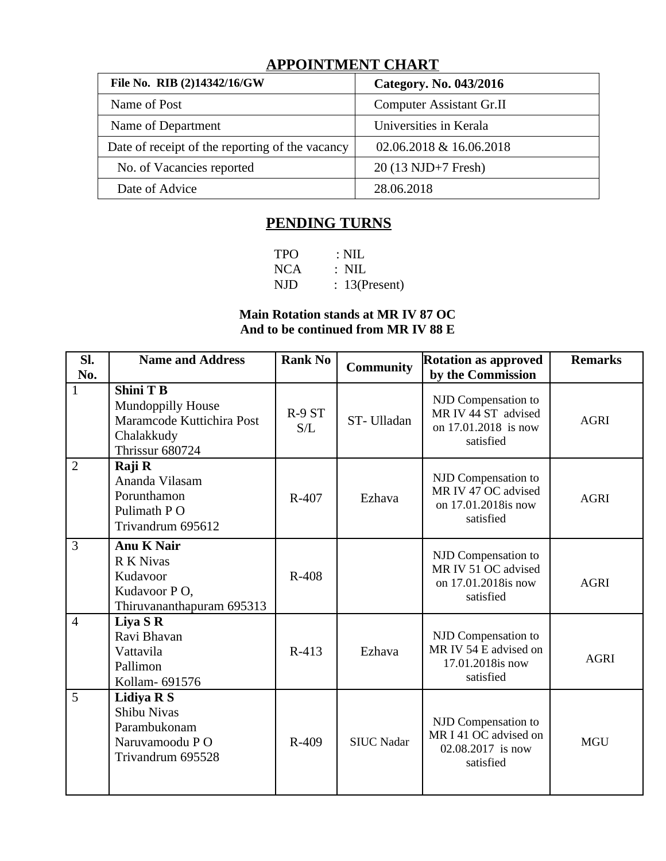# **APPOINTMENT CHART**

| File No. RIB (2)14342/16/GW                     | Category. No. 043/2016          |
|-------------------------------------------------|---------------------------------|
| Name of Post                                    | <b>Computer Assistant Gr.II</b> |
| Name of Department                              | Universities in Kerala          |
| Date of receipt of the reporting of the vacancy | 02.06.2018 & 16.06.2018         |
| No. of Vacancies reported                       | 20 (13 NJD+7 Fresh)             |
| Date of Advice                                  | 28.06.2018                      |

## **PENDING TURNS**

| <b>TPO</b> | $\therefore$ NIL |
|------------|------------------|
| NCA        | $\therefore$ NIL |
| NJD        | $: 13$ (Present) |

### **Main Rotation stands at MR IV 87 OC And to be continued from MR IV 88 E**

| SI.<br>No.     | <b>Name and Address</b>                                                                             | <b>Rank No</b> | <b>Community</b>  | <b>Rotation as approved</b><br>by the Commission                                | <b>Remarks</b> |
|----------------|-----------------------------------------------------------------------------------------------------|----------------|-------------------|---------------------------------------------------------------------------------|----------------|
| $\mathbf{1}$   | <b>Shini T B</b><br>Mundoppilly House<br>Maramcode Kuttichira Post<br>Chalakkudy<br>Thrissur 680724 | R-9 ST<br>S/L  | ST-Ulladan        | NJD Compensation to<br>MR IV 44 ST advised<br>on 17.01.2018 is now<br>satisfied | <b>AGRI</b>    |
| $\overline{2}$ | Raji R<br>Ananda Vilasam<br>Porunthamon<br>Pulimath P O<br>Trivandrum 695612                        | R-407          | Ezhava            | NJD Compensation to<br>MR IV 47 OC advised<br>on 17.01.2018is now<br>satisfied  | <b>AGRI</b>    |
| 3              | <b>Anu K Nair</b><br>R K Nivas<br>Kudavoor<br>Kudavoor PO,<br>Thiruvananthapuram 695313             | $R-408$        |                   | NJD Compensation to<br>MR IV 51 OC advised<br>on 17.01.2018is now<br>satisfied  | <b>AGRI</b>    |
| $\overline{4}$ | Liya S R<br>Ravi Bhavan<br>Vattavila<br>Pallimon<br>Kollam- 691576                                  | R-413          | Ezhava            | NJD Compensation to<br>MR IV 54 E advised on<br>17.01.2018is now<br>satisfied   | <b>AGRI</b>    |
| 5              | <b>Lidiya RS</b><br><b>Shibu Nivas</b><br>Parambukonam<br>Naruvamoodu PO<br>Trivandrum 695528       | R-409          | <b>SIUC Nadar</b> | NJD Compensation to<br>MR I 41 OC advised on<br>02.08.2017 is now<br>satisfied  | <b>MGU</b>     |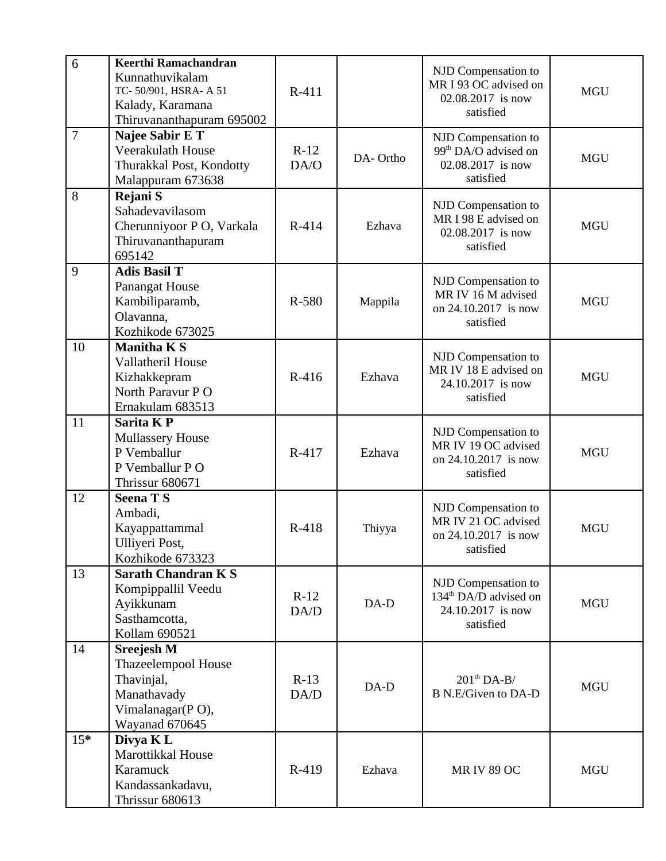| 6              | Keerthi Ramachandran<br>Kunnathuvikalam<br>TC-50/901, HSRA-A 51<br>Kalady, Karamana<br>Thiruvananthapuram 695002 | R-411          |          | NJD Compensation to<br>MR I 93 OC advised on<br>02.08.2017 is now<br>satisfied             | <b>MGU</b> |
|----------------|------------------------------------------------------------------------------------------------------------------|----------------|----------|--------------------------------------------------------------------------------------------|------------|
| $\overline{7}$ | Najee Sabir E T<br>Veerakulath House<br>Thurakkal Post, Kondotty<br>Malappuram 673638                            | $R-12$<br>DA/O | DA-Ortho | NJD Compensation to<br>99 <sup>th</sup> DA/O advised on<br>02.08.2017 is now<br>satisfied  | <b>MGU</b> |
| 8              | Rejani S<br>Sahadevavilasom<br>Cherunniyoor P O, Varkala<br>Thiruvananthapuram<br>695142                         | R-414          | Ezhava   | NJD Compensation to<br>MR I 98 E advised on<br>02.08.2017 is now<br>satisfied              | <b>MGU</b> |
| 9              | <b>Adis Basil T</b><br>Panangat House<br>Kambiliparamb,<br>Olavanna,<br>Kozhikode 673025                         | R-580          | Mappila  | NJD Compensation to<br>MR IV 16 M advised<br>on 24.10.2017 is now<br>satisfied             | <b>MGU</b> |
| 10             | <b>Manitha KS</b><br>Vallatheril House<br>Kizhakkepram<br>North Paravur P O<br>Ernakulam 683513                  | R-416          | Ezhava   | NJD Compensation to<br>MR IV 18 E advised on<br>24.10.2017 is now<br>satisfied             | <b>MGU</b> |
| 11             | <b>Sarita KP</b><br><b>Mullassery House</b><br>P Vemballur<br>P Vemballur P O<br>Thrissur 680671                 | R-417          | Ezhava   | NJD Compensation to<br>MR IV 19 OC advised<br>on 24.10.2017 is now<br>satisfied            | <b>MGU</b> |
| 12             | <b>Seena TS</b><br>Ambadi,<br>Kayappattammal<br>Ulliyeri Post,<br>Kozhikode 673323                               | R-418          | Thiyya   | NJD Compensation to<br>MR IV 21 OC advised<br>on 24.10.2017 is now<br>satisfied            | <b>MGU</b> |
| 13             | <b>Sarath Chandran K S</b><br>Kompippallil Veedu<br>Ayikkunam<br>Sasthamcotta,<br>Kollam 690521                  | $R-12$<br>DA/D | $DA-D$   | NJD Compensation to<br>134 <sup>th</sup> DA/D advised on<br>24.10.2017 is now<br>satisfied | <b>MGU</b> |
| 14             | <b>Sreejesh M</b><br>Thazeelempool House<br>Thavinjal,<br>Manathavady<br>Vimalanagar(PO),<br>Wayanad 670645      | $R-13$<br>DA/D | DA-D     | $201^{\text{th}}$ DA-B/<br><b>B N.E/Given to DA-D</b>                                      | <b>MGU</b> |
| $15*$          | Divya K L<br>Marottikkal House<br>Karamuck<br>Kandassankadavu,<br>Thrissur 680613                                | R-419          | Ezhava   | <b>MR IV 89 OC</b>                                                                         | <b>MGU</b> |